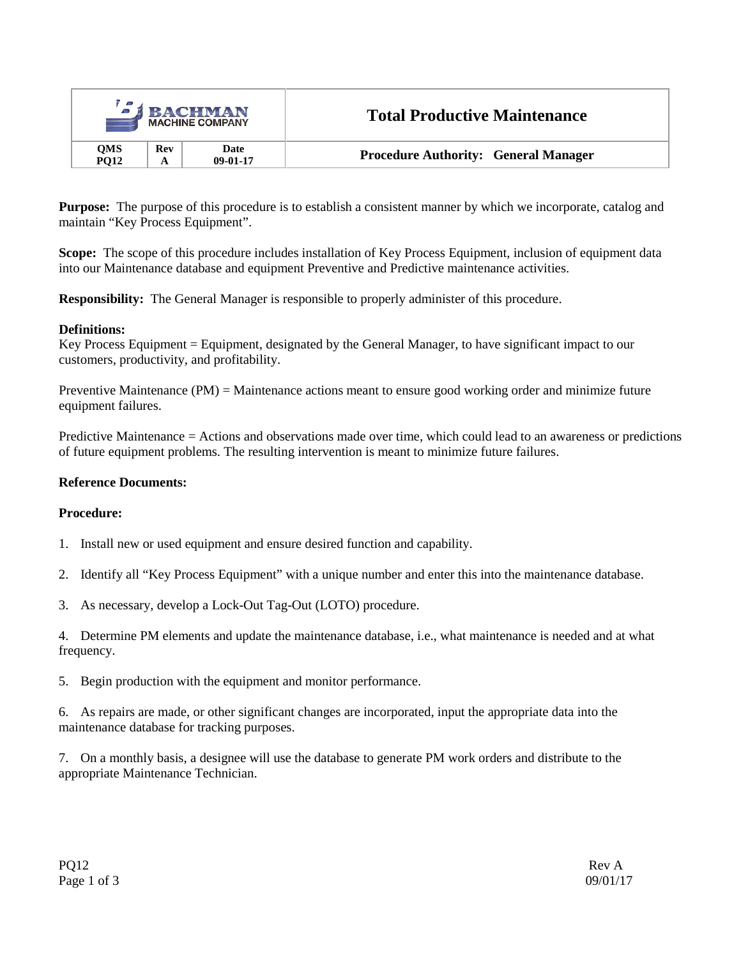| $\mathbf{z}_1$<br><b>BACHMAN</b><br><b>MACHINE COMPANY</b> |     |                    | <b>Total Productive Maintenance</b>         |
|------------------------------------------------------------|-----|--------------------|---------------------------------------------|
| <b>OMS</b><br><b>PO12</b>                                  | Rev | Date<br>$09-01-17$ | <b>Procedure Authority: General Manager</b> |

**Purpose:** The purpose of this procedure is to establish a consistent manner by which we incorporate, catalog and maintain "Key Process Equipment".

**Scope:** The scope of this procedure includes installation of Key Process Equipment, inclusion of equipment data into our Maintenance database and equipment Preventive and Predictive maintenance activities.

**Responsibility:** The General Manager is responsible to properly administer of this procedure.

## **Definitions:**

Key Process Equipment = Equipment, designated by the General Manager, to have significant impact to our customers, productivity, and profitability.

Preventive Maintenance (PM) = Maintenance actions meant to ensure good working order and minimize future equipment failures.

Predictive Maintenance = Actions and observations made over time, which could lead to an awareness or predictions of future equipment problems. The resulting intervention is meant to minimize future failures.

## **Reference Documents:**

## **Procedure:**

- 1. Install new or used equipment and ensure desired function and capability.
- 2. Identify all "Key Process Equipment" with a unique number and enter this into the maintenance database.
- 3. As necessary, develop a Lock-Out Tag-Out (LOTO) procedure.

4. Determine PM elements and update the maintenance database, i.e., what maintenance is needed and at what frequency.

5. Begin production with the equipment and monitor performance.

6. As repairs are made, or other significant changes are incorporated, input the appropriate data into the maintenance database for tracking purposes.

7. On a monthly basis, a designee will use the database to generate PM work orders and distribute to the appropriate Maintenance Technician.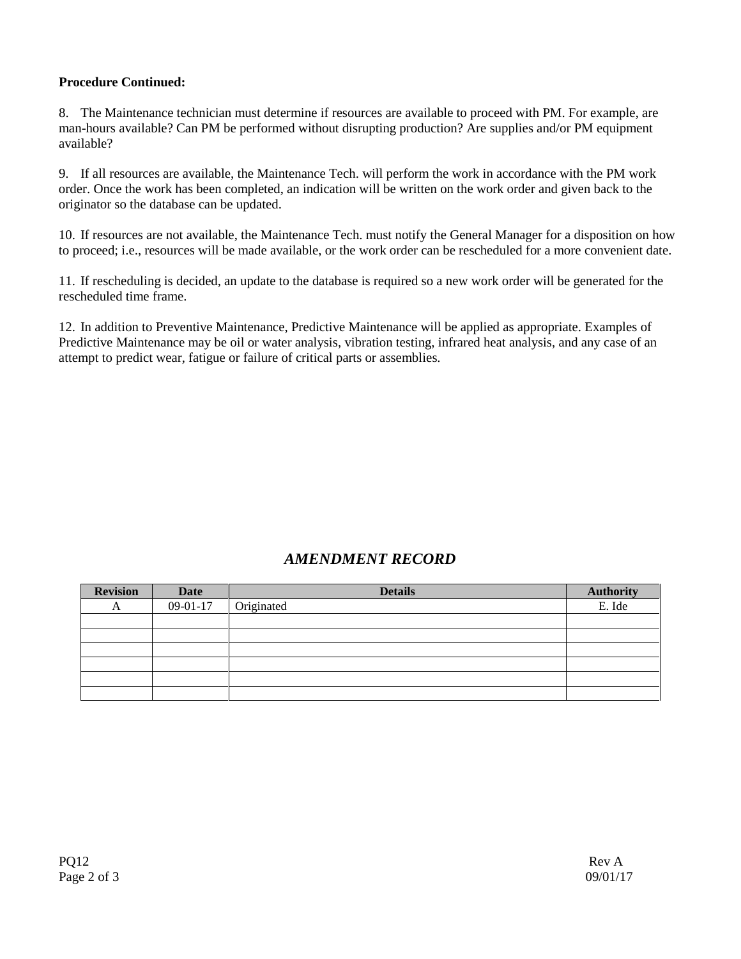# **Procedure Continued:**

8. The Maintenance technician must determine if resources are available to proceed with PM. For example, are man-hours available? Can PM be performed without disrupting production? Are supplies and/or PM equipment available?

9. If all resources are available, the Maintenance Tech. will perform the work in accordance with the PM work order. Once the work has been completed, an indication will be written on the work order and given back to the originator so the database can be updated.

10. If resources are not available, the Maintenance Tech. must notify the General Manager for a disposition on how to proceed; i.e., resources will be made available, or the work order can be rescheduled for a more convenient date.

11. If rescheduling is decided, an update to the database is required so a new work order will be generated for the rescheduled time frame.

12. In addition to Preventive Maintenance, Predictive Maintenance will be applied as appropriate. Examples of Predictive Maintenance may be oil or water analysis, vibration testing, infrared heat analysis, and any case of an attempt to predict wear, fatigue or failure of critical parts or assemblies.

# *AMENDMENT RECORD*

| <b>Revision</b> | <b>Date</b> | <b>Details</b> | <b>Authority</b> |
|-----------------|-------------|----------------|------------------|
| A               | $09-01-17$  | Originated     | E. Ide           |
|                 |             |                |                  |
|                 |             |                |                  |
|                 |             |                |                  |
|                 |             |                |                  |
|                 |             |                |                  |
|                 |             |                |                  |